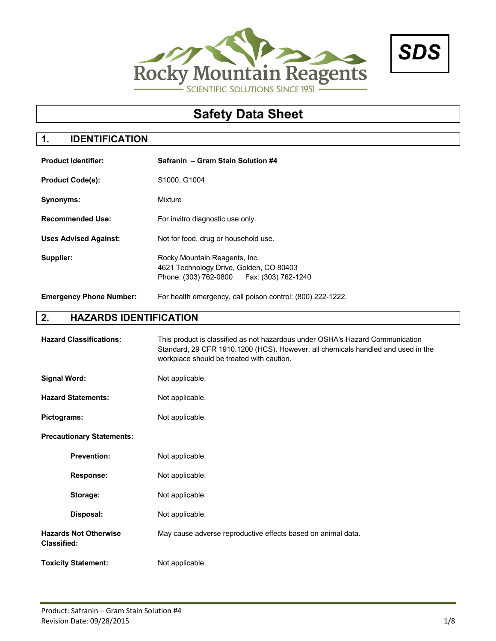



# **Safety Data Sheet**

# **1. IDENTIFICATION**

| <b>Product Identifier:</b>     | Safranin – Gram Stain Solution #4                                                                                        |
|--------------------------------|--------------------------------------------------------------------------------------------------------------------------|
| <b>Product Code(s):</b>        | S1000, G1004                                                                                                             |
| Synonyms:                      | Mixture                                                                                                                  |
| <b>Recommended Use:</b>        | For invitro diagnostic use only.                                                                                         |
| <b>Uses Advised Against:</b>   | Not for food, drug or household use.                                                                                     |
| Supplier:                      | Rocky Mountain Reagents, Inc.<br>4621 Technology Drive, Golden, CO 80403<br>Phone: (303) 762-0800<br>Fax: (303) 762-1240 |
| <b>Emergency Phone Number:</b> | For health emergency, call poison control: (800) 222-1222.                                                               |

# **2. HAZARDS IDENTIFICATION**

| <b>Hazard Classifications:</b>                     | This product is classified as not hazardous under OSHA's Hazard Communication<br>Standard, 29 CFR 1910.1200 (HCS). However, all chemicals handled and used in the<br>workplace should be treated with caution. |  |  |
|----------------------------------------------------|----------------------------------------------------------------------------------------------------------------------------------------------------------------------------------------------------------------|--|--|
| <b>Signal Word:</b>                                | Not applicable.                                                                                                                                                                                                |  |  |
| <b>Hazard Statements:</b>                          | Not applicable.                                                                                                                                                                                                |  |  |
| <b>Pictograms:</b>                                 | Not applicable.                                                                                                                                                                                                |  |  |
| <b>Precautionary Statements:</b>                   |                                                                                                                                                                                                                |  |  |
| <b>Prevention:</b>                                 | Not applicable.                                                                                                                                                                                                |  |  |
| <b>Response:</b>                                   | Not applicable.                                                                                                                                                                                                |  |  |
| Storage:                                           | Not applicable.                                                                                                                                                                                                |  |  |
| Disposal:                                          | Not applicable.                                                                                                                                                                                                |  |  |
| <b>Hazards Not Otherwise</b><br><b>Classified:</b> | May cause adverse reproductive effects based on animal data.                                                                                                                                                   |  |  |
| <b>Toxicity Statement:</b>                         | Not applicable.                                                                                                                                                                                                |  |  |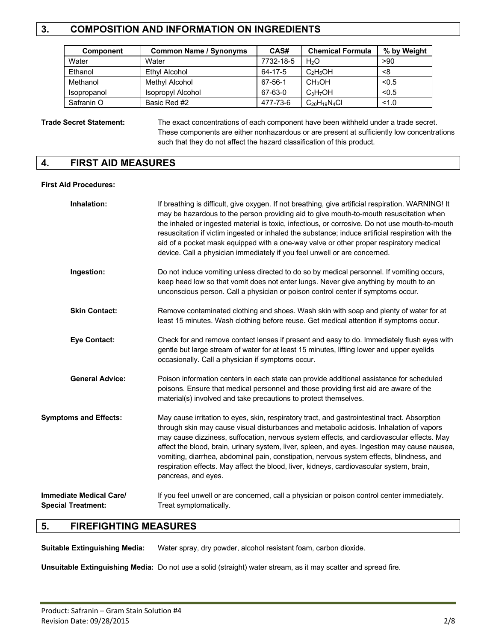# **3. COMPOSITION AND INFORMATION ON INGREDIENTS**

| <b>Component</b> | <b>Common Name / Synonyms</b> | CAS#      | <b>Chemical Formula</b> | % by Weight |
|------------------|-------------------------------|-----------|-------------------------|-------------|
| Water            | Water                         | 7732-18-5 | H <sub>2</sub> O        | >90         |
| Ethanol          | Ethyl Alcohol                 | 64-17-5   | $C_2H_5OH$              | <8          |
| Methanol         | Methyl Alcohol                | 67-56-1   | CH <sub>3</sub> OH      | < 0.5       |
| Isopropanol      | Isopropyl Alcohol             | 67-63-0   | $C_3H_7OH$              | < 0.5       |
| Safranin O       | Basic Red #2                  | 477-73-6  | $C_{20}H_{19}N_4Cl$     | < 1.0       |

### **Trade Secret Statement:** The exact concentrations of each component have been withheld under a trade secret. These components are either nonhazardous or are present at sufficiently low concentrations such that they do not affect the hazard classification of this product.

### **4. FIRST AID MEASURES**

#### **First Aid Procedures:**

| Inhalation:                                                 | If breathing is difficult, give oxygen. If not breathing, give artificial respiration. WARNING! It<br>may be hazardous to the person providing aid to give mouth-to-mouth resuscitation when<br>the inhaled or ingested material is toxic, infectious, or corrosive. Do not use mouth-to-mouth<br>resuscitation if victim ingested or inhaled the substance; induce artificial respiration with the<br>aid of a pocket mask equipped with a one-way valve or other proper respiratory medical<br>device. Call a physician immediately if you feel unwell or are concerned.                            |
|-------------------------------------------------------------|-------------------------------------------------------------------------------------------------------------------------------------------------------------------------------------------------------------------------------------------------------------------------------------------------------------------------------------------------------------------------------------------------------------------------------------------------------------------------------------------------------------------------------------------------------------------------------------------------------|
| Ingestion:                                                  | Do not induce vomiting unless directed to do so by medical personnel. If vomiting occurs,<br>keep head low so that vomit does not enter lungs. Never give anything by mouth to an<br>unconscious person. Call a physician or poison control center if symptoms occur.                                                                                                                                                                                                                                                                                                                                 |
| <b>Skin Contact:</b>                                        | Remove contaminated clothing and shoes. Wash skin with soap and plenty of water for at<br>least 15 minutes. Wash clothing before reuse. Get medical attention if symptoms occur.                                                                                                                                                                                                                                                                                                                                                                                                                      |
| <b>Eye Contact:</b>                                         | Check for and remove contact lenses if present and easy to do. Immediately flush eyes with<br>gentle but large stream of water for at least 15 minutes, lifting lower and upper eyelids<br>occasionally. Call a physician if symptoms occur.                                                                                                                                                                                                                                                                                                                                                          |
| <b>General Advice:</b>                                      | Poison information centers in each state can provide additional assistance for scheduled<br>poisons. Ensure that medical personnel and those providing first aid are aware of the<br>material(s) involved and take precautions to protect themselves.                                                                                                                                                                                                                                                                                                                                                 |
| <b>Symptoms and Effects:</b>                                | May cause irritation to eyes, skin, respiratory tract, and gastrointestinal tract. Absorption<br>through skin may cause visual disturbances and metabolic acidosis. Inhalation of vapors<br>may cause dizziness, suffocation, nervous system effects, and cardiovascular effects. May<br>affect the blood, brain, urinary system, liver, spleen, and eyes. Ingestion may cause nausea,<br>vomiting, diarrhea, abdominal pain, constipation, nervous system effects, blindness, and<br>respiration effects. May affect the blood, liver, kidneys, cardiovascular system, brain,<br>pancreas, and eyes. |
| <b>Immediate Medical Care/</b><br><b>Special Treatment:</b> | If you feel unwell or are concerned, call a physician or poison control center immediately.<br>Treat symptomatically.                                                                                                                                                                                                                                                                                                                                                                                                                                                                                 |

### **5. FIREFIGHTING MEASURES**

**Suitable Extinguishing Media:** Water spray, dry powder, alcohol resistant foam, carbon dioxide.

**Unsuitable Extinguishing Media:** Do not use a solid (straight) water stream, as it may scatter and spread fire.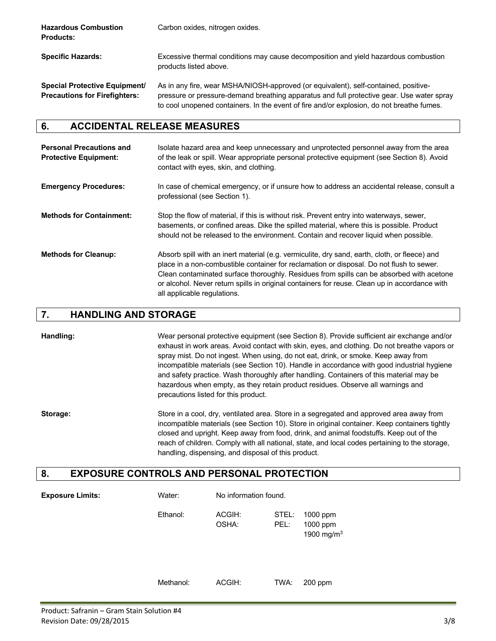| <b>Hazardous Combustion</b><br><b>Products:</b>                       | Carbon oxides, nitrogen oxides.                                                                                                                                                                                                                                               |
|-----------------------------------------------------------------------|-------------------------------------------------------------------------------------------------------------------------------------------------------------------------------------------------------------------------------------------------------------------------------|
| <b>Specific Hazards:</b>                                              | Excessive thermal conditions may cause decomposition and yield hazardous combustion<br>products listed above.                                                                                                                                                                 |
| Special Protective Equipment/<br><b>Precautions for Firefighters:</b> | As in any fire, wear MSHA/NIOSH-approved (or equivalent), self-contained, positive-<br>pressure or pressure-demand breathing apparatus and full protective gear. Use water spray<br>to cool unopened containers. In the event of fire and/or explosion, do not breathe fumes. |

### **6. ACCIDENTAL RELEASE MEASURES**

| <b>Personal Precautions and</b><br><b>Protective Equipment:</b> | Isolate hazard area and keep unnecessary and unprotected personnel away from the area<br>of the leak or spill. Wear appropriate personal protective equipment (see Section 8). Avoid<br>contact with eyes, skin, and clothing.                                                                                                                                                                                        |
|-----------------------------------------------------------------|-----------------------------------------------------------------------------------------------------------------------------------------------------------------------------------------------------------------------------------------------------------------------------------------------------------------------------------------------------------------------------------------------------------------------|
| <b>Emergency Procedures:</b>                                    | In case of chemical emergency, or if unsure how to address an accidental release, consult a<br>professional (see Section 1).                                                                                                                                                                                                                                                                                          |
| <b>Methods for Containment:</b>                                 | Stop the flow of material, if this is without risk. Prevent entry into waterways, sewer,<br>basements, or confined areas. Dike the spilled material, where this is possible. Product<br>should not be released to the environment. Contain and recover liquid when possible.                                                                                                                                          |
| <b>Methods for Cleanup:</b>                                     | Absorb spill with an inert material (e.g. vermiculite, dry sand, earth, cloth, or fleece) and<br>place in a non-combustible container for reclamation or disposal. Do not flush to sewer.<br>Clean contaminated surface thoroughly. Residues from spills can be absorbed with acetone<br>or alcohol. Never return spills in original containers for reuse. Clean up in accordance with<br>all applicable regulations. |

### **7. HANDLING AND STORAGE**

**Handling:** Wear personal protective equipment (see Section 8). Provide sufficient air exchange and/or exhaust in work areas. Avoid contact with skin, eyes, and clothing. Do not breathe vapors or spray mist. Do not ingest. When using, do not eat, drink, or smoke. Keep away from incompatible materials (see Section 10). Handle in accordance with good industrial hygiene and safety practice. Wash thoroughly after handling. Containers of this material may be hazardous when empty, as they retain product residues. Observe all warnings and precautions listed for this product.

**Storage:** Store in a cool, dry, ventilated area. Store in a segregated and approved area away from incompatible materials (see Section 10). Store in original container. Keep containers tightly closed and upright. Keep away from food, drink, and animal foodstuffs. Keep out of the reach of children. Comply with all national, state, and local codes pertaining to the storage, handling, dispensing, and disposal of this product.

### **8. EXPOSURE CONTROLS AND PERSONAL PROTECTION**

| <b>Exposure Limits:</b> | Water:    | No information found. |               |                                       |
|-------------------------|-----------|-----------------------|---------------|---------------------------------------|
|                         | Ethanol:  | ACGIH:<br>OSHA:       | STEL:<br>PEL: | 1000 ppm<br>1000 ppm<br>1900 mg/m $3$ |
|                         | Methanol: | ACGIH:                | TWA:          | $200$ ppm                             |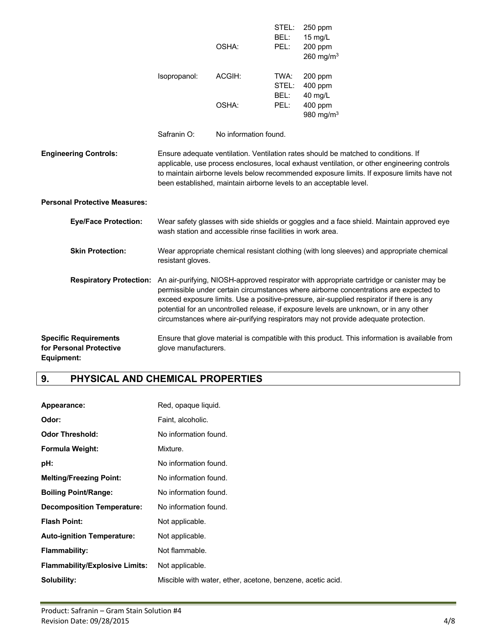|                                                                       |                                                                                                                                                                                                                                                                                                                                                                                                                                                                                        | OSHA:                                                      | STEL:<br>BEL:<br>PEL: | 250 ppm<br>15 mg/L<br>200 ppm<br>260 mg/m $3$                                                                                                                                                                                                                                                                                                          |
|-----------------------------------------------------------------------|----------------------------------------------------------------------------------------------------------------------------------------------------------------------------------------------------------------------------------------------------------------------------------------------------------------------------------------------------------------------------------------------------------------------------------------------------------------------------------------|------------------------------------------------------------|-----------------------|--------------------------------------------------------------------------------------------------------------------------------------------------------------------------------------------------------------------------------------------------------------------------------------------------------------------------------------------------------|
|                                                                       | Isopropanol:                                                                                                                                                                                                                                                                                                                                                                                                                                                                           | ACGIH:                                                     | TWA:<br>STEL:<br>BEL: | 200 ppm<br>400 ppm<br>40 mg/L                                                                                                                                                                                                                                                                                                                          |
|                                                                       |                                                                                                                                                                                                                                                                                                                                                                                                                                                                                        | OSHA:                                                      | PEL:                  | 400 ppm<br>980 mg/m $3$                                                                                                                                                                                                                                                                                                                                |
|                                                                       | Safranin O:                                                                                                                                                                                                                                                                                                                                                                                                                                                                            | No information found.                                      |                       |                                                                                                                                                                                                                                                                                                                                                        |
| <b>Engineering Controls:</b>                                          |                                                                                                                                                                                                                                                                                                                                                                                                                                                                                        |                                                            |                       | Ensure adequate ventilation. Ventilation rates should be matched to conditions. If<br>applicable, use process enclosures, local exhaust ventilation, or other engineering controls<br>to maintain airborne levels below recommended exposure limits. If exposure limits have not<br>been established, maintain airborne levels to an acceptable level. |
| <b>Personal Protective Measures:</b>                                  |                                                                                                                                                                                                                                                                                                                                                                                                                                                                                        |                                                            |                       |                                                                                                                                                                                                                                                                                                                                                        |
| <b>Eye/Face Protection:</b>                                           |                                                                                                                                                                                                                                                                                                                                                                                                                                                                                        | wash station and accessible rinse facilities in work area. |                       | Wear safety glasses with side shields or goggles and a face shield. Maintain approved eye                                                                                                                                                                                                                                                              |
| <b>Skin Protection:</b>                                               | Wear appropriate chemical resistant clothing (with long sleeves) and appropriate chemical<br>resistant gloves.                                                                                                                                                                                                                                                                                                                                                                         |                                                            |                       |                                                                                                                                                                                                                                                                                                                                                        |
|                                                                       | Respiratory Protection: An air-purifying, NIOSH-approved respirator with appropriate cartridge or canister may be<br>permissible under certain circumstances where airborne concentrations are expected to<br>exceed exposure limits. Use a positive-pressure, air-supplied respirator if there is any<br>potential for an uncontrolled release, if exposure levels are unknown, or in any other<br>circumstances where air-purifying respirators may not provide adequate protection. |                                                            |                       |                                                                                                                                                                                                                                                                                                                                                        |
| <b>Specific Requirements</b><br>for Personal Protective<br>Equipment: | glove manufacturers.                                                                                                                                                                                                                                                                                                                                                                                                                                                                   |                                                            |                       | Ensure that glove material is compatible with this product. This information is available from                                                                                                                                                                                                                                                         |

# **9. PHYSICAL AND CHEMICAL PROPERTIES**

| Appearance:                           | Red, opaque liquid.                                        |
|---------------------------------------|------------------------------------------------------------|
| Odor:                                 | Faint, alcoholic.                                          |
| <b>Odor Threshold:</b>                | No information found.                                      |
| Formula Weight:                       | Mixture.                                                   |
| pH:                                   | No information found.                                      |
| <b>Melting/Freezing Point:</b>        | No information found.                                      |
| <b>Boiling Point/Range:</b>           | No information found.                                      |
| <b>Decomposition Temperature:</b>     | No information found.                                      |
| <b>Flash Point:</b>                   | Not applicable.                                            |
| <b>Auto-ignition Temperature:</b>     | Not applicable.                                            |
| Flammability:                         | Not flammable.                                             |
| <b>Flammability/Explosive Limits:</b> | Not applicable.                                            |
| Solubility:                           | Miscible with water, ether, acetone, benzene, acetic acid. |
|                                       |                                                            |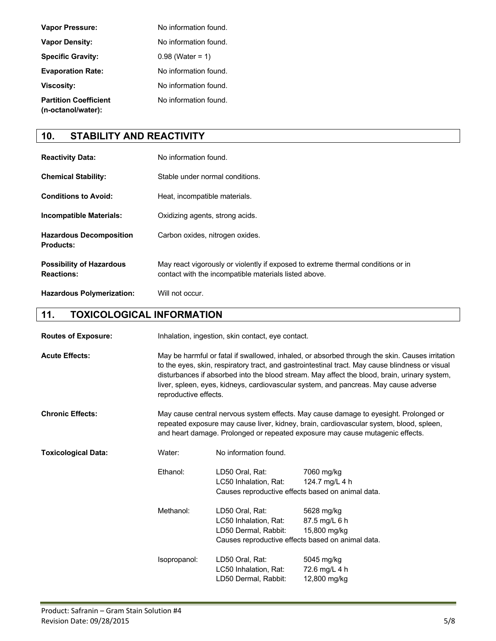| <b>Vapor Pressure:</b>                             | No information found. |
|----------------------------------------------------|-----------------------|
| <b>Vapor Density:</b>                              | No information found. |
| <b>Specific Gravity:</b>                           | $0.98$ (Water = 1)    |
| <b>Evaporation Rate:</b>                           | No information found. |
| <b>Viscosity:</b>                                  | No information found. |
| <b>Partition Coefficient</b><br>(n-octanol/water): | No information found. |

# **10. STABILITY AND REACTIVITY**

| <b>Reactivity Data:</b>                              | No information found.                                                                                                                     |
|------------------------------------------------------|-------------------------------------------------------------------------------------------------------------------------------------------|
| <b>Chemical Stability:</b>                           | Stable under normal conditions.                                                                                                           |
| <b>Conditions to Avoid:</b>                          | Heat, incompatible materials.                                                                                                             |
| <b>Incompatible Materials:</b>                       | Oxidizing agents, strong acids.                                                                                                           |
| <b>Hazardous Decomposition</b><br><b>Products:</b>   | Carbon oxides, nitrogen oxides.                                                                                                           |
| <b>Possibility of Hazardous</b><br><b>Reactions:</b> | May react vigorously or violently if exposed to extreme thermal conditions or in<br>contact with the incompatible materials listed above. |
| <b>Hazardous Polymerization:</b>                     | Will not occur.                                                                                                                           |

# **11. TOXICOLOGICAL INFORMATION**

| <b>Routes of Exposure:</b> |              | Inhalation, ingestion, skin contact, eye contact.                                                                                                                                                                                                                                                                                                                                                                  |                                                                                                  |  |
|----------------------------|--------------|--------------------------------------------------------------------------------------------------------------------------------------------------------------------------------------------------------------------------------------------------------------------------------------------------------------------------------------------------------------------------------------------------------------------|--------------------------------------------------------------------------------------------------|--|
| <b>Acute Effects:</b>      |              | May be harmful or fatal if swallowed, inhaled, or absorbed through the skin. Causes irritation<br>to the eyes, skin, respiratory tract, and gastrointestinal tract. May cause blindness or visual<br>disturbances if absorbed into the blood stream. May affect the blood, brain, urinary system,<br>liver, spleen, eyes, kidneys, cardiovascular system, and pancreas. May cause adverse<br>reproductive effects. |                                                                                                  |  |
| <b>Chronic Effects:</b>    |              | May cause central nervous system effects. May cause damage to eyesight. Prolonged or<br>repeated exposure may cause liver, kidney, brain, cardiovascular system, blood, spleen,<br>and heart damage. Prolonged or repeated exposure may cause mutagenic effects.                                                                                                                                                   |                                                                                                  |  |
| <b>Toxicological Data:</b> | Water:       | No information found.                                                                                                                                                                                                                                                                                                                                                                                              |                                                                                                  |  |
|                            | Ethanol:     | LD50 Oral, Rat:<br>LC50 Inhalation, Rat:                                                                                                                                                                                                                                                                                                                                                                           | 7060 mg/kg<br>124.7 mg/L 4 h<br>Causes reproductive effects based on animal data.                |  |
|                            | Methanol:    | LD50 Oral, Rat:<br>LC50 Inhalation, Rat:<br>LD50 Dermal, Rabbit:                                                                                                                                                                                                                                                                                                                                                   | 5628 mg/kg<br>87.5 mg/L 6 h<br>15,800 mg/kg<br>Causes reproductive effects based on animal data. |  |
|                            | Isopropanol: | LD50 Oral, Rat:<br>LC50 Inhalation, Rat:<br>LD50 Dermal, Rabbit:                                                                                                                                                                                                                                                                                                                                                   | 5045 mg/kg<br>72.6 mg/L 4 h<br>12,800 mg/kg                                                      |  |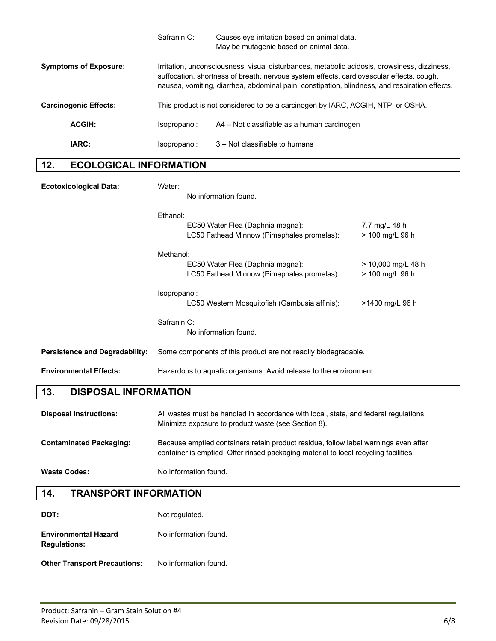|                              | Safranin O:                                                                                                                                                                                                                                                                               | Causes eye irritation based on animal data. |
|------------------------------|-------------------------------------------------------------------------------------------------------------------------------------------------------------------------------------------------------------------------------------------------------------------------------------------|---------------------------------------------|
|                              |                                                                                                                                                                                                                                                                                           | May be mutagenic based on animal data.      |
| <b>Symptoms of Exposure:</b> | Irritation, unconsciousness, visual disturbances, metabolic acidosis, drowsiness, dizziness,<br>suffocation, shortness of breath, nervous system effects, cardiovascular effects, cough,<br>nausea, vomiting, diarrhea, abdominal pain, constipation, blindness, and respiration effects. |                                             |
| <b>Carcinogenic Effects:</b> | This product is not considered to be a carcinogen by IARC, ACGIH, NTP, or OSHA.                                                                                                                                                                                                           |                                             |
| <b>ACGIH:</b>                | Isopropanol:                                                                                                                                                                                                                                                                              | A4 – Not classifiable as a human carcinogen |
| IARC:                        | Isopropanol:                                                                                                                                                                                                                                                                              | 3 – Not classifiable to humans              |
|                              |                                                                                                                                                                                                                                                                                           |                                             |

### **12. ECOLOGICAL INFORMATION**

| <b>Ecotoxicological Data:</b>         | Water:<br>No information found.                                                                                                             |  |
|---------------------------------------|---------------------------------------------------------------------------------------------------------------------------------------------|--|
|                                       | Ethanol:<br>EC50 Water Flea (Daphnia magna):<br>7.7 mg/L 48 h<br>LC50 Fathead Minnow (Pimephales promelas):<br>> 100 mg/L 96 h              |  |
|                                       | Methanol:<br>EC50 Water Flea (Daphnia magna):<br>> 10,000 mg/L 48 h<br>LC50 Fathead Minnow (Pimephales promelas):<br>> 100 mg/L 96 h        |  |
|                                       | Isopropanol:<br>LC50 Western Mosquitofish (Gambusia affinis):<br>>1400 mg/L 96 h                                                            |  |
|                                       | Safranin O:<br>No information found.                                                                                                        |  |
| <b>Persistence and Degradability:</b> | Some components of this product are not readily biodegradable.                                                                              |  |
| <b>Environmental Effects:</b>         | Hazardous to aquatic organisms. Avoid release to the environment.                                                                           |  |
| 13.<br><b>DISPOSAL INFORMATION</b>    |                                                                                                                                             |  |
| <b>Disposal Instructions:</b>         | All wastes must be handled in accordance with local, state, and federal regulations.<br>Minimize exposure to product waste (see Section 8). |  |

### **Contaminated Packaging:** Because emptied containers retain product residue, follow label warnings even after container is emptied. Offer rinsed packaging material to local recycling facilities.

Waste Codes: No information found.

### **14. TRANSPORT INFORMATION**

| DOT:                                               | Not regulated.        |
|----------------------------------------------------|-----------------------|
| <b>Environmental Hazard</b><br><b>Regulations:</b> | No information found. |

**Other Transport Precautions:** No information found.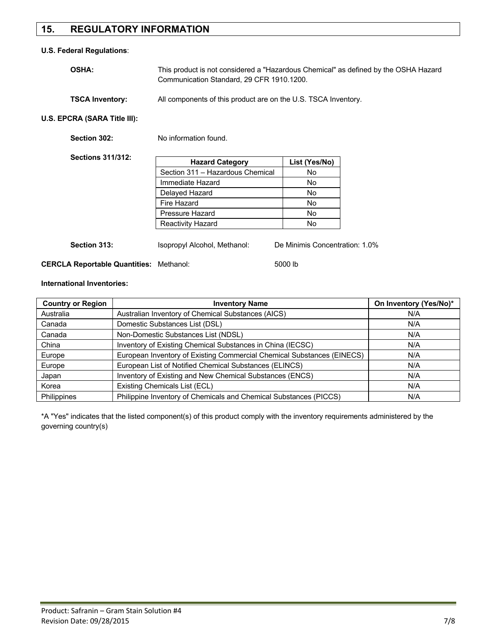# **15. REGULATORY INFORMATION**

#### **U.S. Federal Regulations**:

| <b>OSHA:</b> | This product is not considered a "Hazardous Chemical" as defined by the OSHA Hazard |
|--------------|-------------------------------------------------------------------------------------|
|              | Communication Standard, 29 CFR 1910, 1200.                                          |
|              |                                                                                     |

### **TSCA Inventory:** All components of this product are on the U.S. TSCA Inventory.

### **U.S. EPCRA (SARA Title III):**

| Section 302:             | No information found.            |               |
|--------------------------|----------------------------------|---------------|
| <b>Sections 311/312:</b> | <b>Hazard Category</b>           | List (Yes/No) |
|                          | Section 311 - Hazardous Chemical | No            |
|                          | Immediate Hazard                 | No.           |
|                          | Delayed Hazard                   | No.           |
|                          | Fire Hazard                      | No.           |
|                          | Pressure Hazard                  | No.           |
|                          | <b>Reactivity Hazard</b>         | No.           |

**Section 313:** Isopropyl Alcohol, Methanol: De Minimis Concentration: 1.0%

**CERCLA Reportable Quantities:** Methanol: 5000 lb

#### **International Inventories:**

| <b>Country or Region</b> | <b>Inventory Name</b>                                                  | On Inventory (Yes/No)* |
|--------------------------|------------------------------------------------------------------------|------------------------|
| Australia                | Australian Inventory of Chemical Substances (AICS)                     | N/A                    |
| Canada                   | Domestic Substances List (DSL)                                         | N/A                    |
| Canada                   | Non-Domestic Substances List (NDSL)                                    | N/A                    |
| China                    | Inventory of Existing Chemical Substances in China (IECSC)             | N/A                    |
| Europe                   | European Inventory of Existing Commercial Chemical Substances (EINECS) | N/A                    |
| Europe                   | European List of Notified Chemical Substances (ELINCS)                 | N/A                    |
| Japan                    | Inventory of Existing and New Chemical Substances (ENCS)               | N/A                    |
| Korea                    | Existing Chemicals List (ECL)                                          | N/A                    |
| Philippines              | Philippine Inventory of Chemicals and Chemical Substances (PICCS)      | N/A                    |

\*A "Yes" indicates that the listed component(s) of this product comply with the inventory requirements administered by the governing country(s)